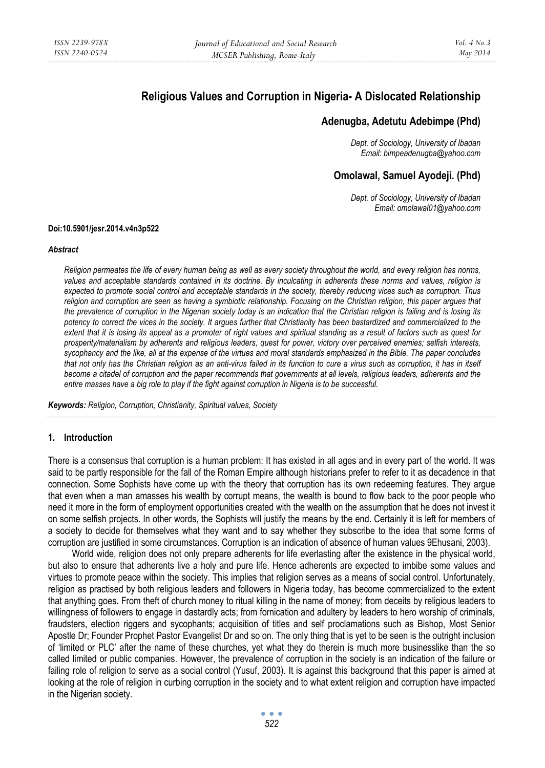# **Religious Values and Corruption in Nigeria- A Dislocated Relationship**

## **Adenugba, Adetutu Adebimpe (Phd)**

*Dept. of Sociology, University of Ibadan Email: bimpeadenugba@yahoo.com* 

# **Omolawal, Samuel Ayodeji. (Phd)**

*Dept. of Sociology, University of Ibadan Email: omolawal01@yahoo.com* 

#### **Doi:10.5901/jesr.2014.v4n3p522**

#### *Abstract*

*Religion permeates the life of every human being as well as every society throughout the world, and every religion has norms,*  values and acceptable standards contained in its doctrine. By inculcating in adherents these norms and values, religion is *expected to promote social control and acceptable standards in the society, thereby reducing vices such as corruption. Thus religion and corruption are seen as having a symbiotic relationship. Focusing on the Christian religion, this paper argues that the prevalence of corruption in the Nigerian society today is an indication that the Christian religion is failing and is losing its potency to correct the vices in the society. It argues further that Christianity has been bastardized and commercialized to the extent that it is losing its appeal as a promoter of right values and spiritual standing as a result of factors such as quest for prosperity/materialism by adherents and religious leaders, quest for power, victory over perceived enemies; selfish interests, sycophancy and the like, all at the expense of the virtues and moral standards emphasized in the Bible. The paper concludes*  that not only has the Christian religion as an anti-virus failed in its function to cure a virus such as corruption, it has in itself *become a citadel of corruption and the paper recommends that governments at all levels, religious leaders, adherents and the entire masses have a big role to play if the fight against corruption in Nigeria is to be successful.* 

*Keywords: Religion, Corruption, Christianity, Spiritual values, Society* 

#### **1. Introduction**

There is a consensus that corruption is a human problem: It has existed in all ages and in every part of the world. It was said to be partly responsible for the fall of the Roman Empire although historians prefer to refer to it as decadence in that connection. Some Sophists have come up with the theory that corruption has its own redeeming features. They argue that even when a man amasses his wealth by corrupt means, the wealth is bound to flow back to the poor people who need it more in the form of employment opportunities created with the wealth on the assumption that he does not invest it on some selfish projects. In other words, the Sophists will justify the means by the end. Certainly it is left for members of a society to decide for themselves what they want and to say whether they subscribe to the idea that some forms of corruption are justified in some circumstances. Corruption is an indication of absence of human values 9Ehusani, 2003).

World wide, religion does not only prepare adherents for life everlasting after the existence in the physical world, but also to ensure that adherents live a holy and pure life. Hence adherents are expected to imbibe some values and virtues to promote peace within the society. This implies that religion serves as a means of social control. Unfortunately, religion as practised by both religious leaders and followers in Nigeria today, has become commercialized to the extent that anything goes. From theft of church money to ritual killing in the name of money; from deceits by religious leaders to willingness of followers to engage in dastardly acts; from fornication and adultery by leaders to hero worship of criminals, fraudsters, election riggers and sycophants; acquisition of titles and self proclamations such as Bishop, Most Senior Apostle Dr; Founder Prophet Pastor Evangelist Dr and so on. The only thing that is yet to be seen is the outright inclusion of 'limited or PLC' after the name of these churches, yet what they do therein is much more businesslike than the so called limited or public companies. However, the prevalence of corruption in the society is an indication of the failure or failing role of religion to serve as a social control (Yusuf, 2003). It is against this background that this paper is aimed at looking at the role of religion in curbing corruption in the society and to what extent religion and corruption have impacted in the Nigerian society.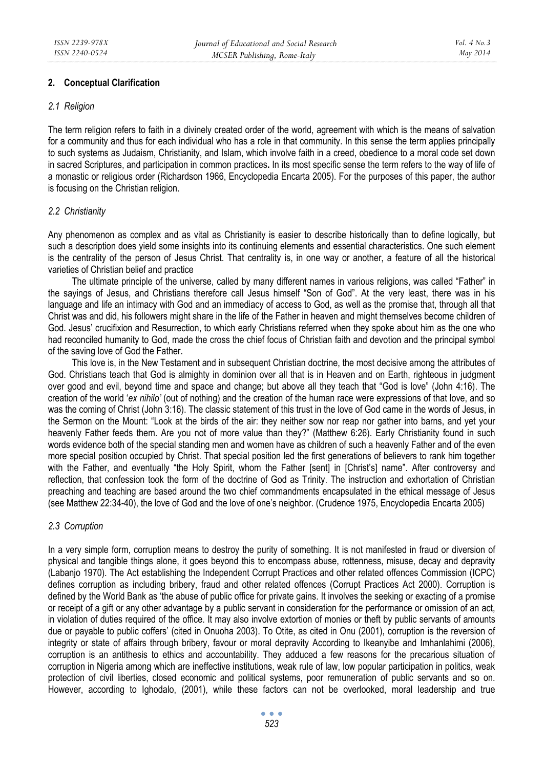## **2. Conceptual Clarification**

#### *2.1 Religion*

The term religion refers to faith in a divinely created order of the world, agreement with which is the means of salvation for a community and thus for each individual who has a role in that community. In this sense the term applies principally to such systems as Judaism, Christianity, and Islam, which involve faith in a creed, obedience to a moral code set down in sacred Scriptures, and participation in common practices**.** In its most specific sense the term refers to the way of life of a monastic or religious order (Richardson 1966, Encyclopedia Encarta 2005). For the purposes of this paper, the author is focusing on the Christian religion.

## *2.2 Christianity*

Any phenomenon as complex and as vital as Christianity is easier to describe historically than to define logically, but such a description does yield some insights into its continuing elements and essential characteristics. One such element is the centrality of the person of Jesus Christ. That centrality is, in one way or another, a feature of all the historical varieties of Christian belief and practice

The ultimate principle of the universe, called by many different names in various religions, was called "Father" in the sayings of Jesus, and Christians therefore call Jesus himself "Son of God". At the very least, there was in his language and life an intimacy with God and an immediacy of access to God, as well as the promise that, through all that Christ was and did, his followers might share in the life of the Father in heaven and might themselves become children of God. Jesus' crucifixion and Resurrection, to which early Christians referred when they spoke about him as the one who had reconciled humanity to God, made the cross the chief focus of Christian faith and devotion and the principal symbol of the saving love of God the Father.

This love is, in the New Testament and in subsequent Christian doctrine, the most decisive among the attributes of God. Christians teach that God is almighty in dominion over all that is in Heaven and on Earth, righteous in judgment over good and evil, beyond time and space and change; but above all they teach that "God is love" (John 4:16). The creation of the world '*ex nihilo'* (out of nothing) and the creation of the human race were expressions of that love, and so was the coming of Christ (John 3:16). The classic statement of this trust in the love of God came in the words of Jesus, in the Sermon on the Mount: "Look at the birds of the air: they neither sow nor reap nor gather into barns, and yet your heavenly Father feeds them. Are you not of more value than they?" (Matthew 6:26). Early Christianity found in such words evidence both of the special standing men and women have as children of such a heavenly Father and of the even more special position occupied by Christ. That special position led the first generations of believers to rank him together with the Father, and eventually "the Holy Spirit, whom the Father [sent] in [Christ's] name". After controversy and reflection, that confession took the form of the doctrine of God as Trinity. The instruction and exhortation of Christian preaching and teaching are based around the two chief commandments encapsulated in the ethical message of Jesus (see Matthew 22:34-40), the love of God and the love of one's neighbor. (Crudence 1975, Encyclopedia Encarta 2005)

#### *2.3 Corruption*

In a very simple form, corruption means to destroy the purity of something. It is not manifested in fraud or diversion of physical and tangible things alone, it goes beyond this to encompass abuse, rottenness, misuse, decay and depravity (Labanjo 1970). The Act establishing the Independent Corrupt Practices and other related offences Commission (ICPC) defines corruption as including bribery, fraud and other related offences (Corrupt Practices Act 2000). Corruption is defined by the World Bank as 'the abuse of public office for private gains. It involves the seeking or exacting of a promise or receipt of a gift or any other advantage by a public servant in consideration for the performance or omission of an act, in violation of duties required of the office. It may also involve extortion of monies or theft by public servants of amounts due or payable to public coffers' (cited in Onuoha 2003). To Otite, as cited in Onu (2001), corruption is the reversion of integrity or state of affairs through bribery, favour or moral depravity According to Ikeanyibe and Imhanlahimi (2006), corruption is an antithesis to ethics and accountability. They adduced a few reasons for the precarious situation of corruption in Nigeria among which are ineffective institutions, weak rule of law, low popular participation in politics, weak protection of civil liberties, closed economic and political systems, poor remuneration of public servants and so on. However, according to Ighodalo, (2001), while these factors can not be overlooked, moral leadership and true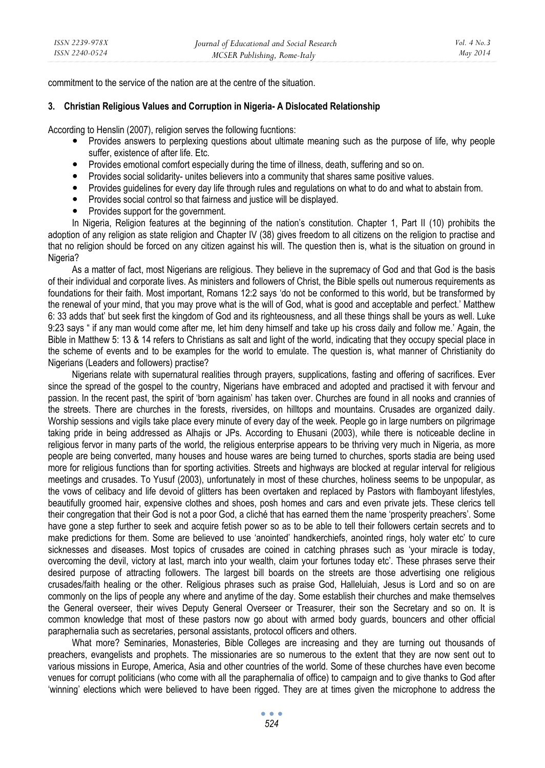commitment to the service of the nation are at the centre of the situation.

## **3. Christian Religious Values and Corruption in Nigeria- A Dislocated Relationship**

According to Henslin (2007), religion serves the following fucntions:

- Provides answers to perplexing questions about ultimate meaning such as the purpose of life, why people suffer, existence of after life. Etc.
- Provides emotional comfort especially during the time of illness, death, suffering and so on.
- Provides social solidarity- unites believers into a community that shares same positive values.
- Provides guidelines for every day life through rules and regulations on what to do and what to abstain from.
- Provides social control so that fairness and justice will be displayed.
- Provides support for the government.

In Nigeria, Religion features at the beginning of the nation's constitution. Chapter 1, Part II (10) prohibits the adoption of any religion as state religion and Chapter IV (38) gives freedom to all citizens on the religion to practise and that no religion should be forced on any citizen against his will. The question then is, what is the situation on ground in Nigeria?

As a matter of fact, most Nigerians are religious. They believe in the supremacy of God and that God is the basis of their individual and corporate lives. As ministers and followers of Christ, the Bible spells out numerous requirements as foundations for their faith. Most important, Romans 12:2 says 'do not be conformed to this world, but be transformed by the renewal of your mind, that you may prove what is the will of God, what is good and acceptable and perfect.' Matthew 6: 33 adds that' but seek first the kingdom of God and its righteousness, and all these things shall be yours as well. Luke 9:23 says " if any man would come after me, let him deny himself and take up his cross daily and follow me.' Again, the Bible in Matthew 5: 13 & 14 refers to Christians as salt and light of the world, indicating that they occupy special place in the scheme of events and to be examples for the world to emulate. The question is, what manner of Christianity do Nigerians (Leaders and followers) practise?

Nigerians relate with supernatural realities through prayers, supplications, fasting and offering of sacrifices. Ever since the spread of the gospel to the country, Nigerians have embraced and adopted and practised it with fervour and passion. In the recent past, the spirit of 'born againism' has taken over. Churches are found in all nooks and crannies of the streets. There are churches in the forests, riversides, on hilltops and mountains. Crusades are organized daily. Worship sessions and vigils take place every minute of every day of the week. People go in large numbers on pilgrimage taking pride in being addressed as Alhajis or JPs. According to Ehusani (2003), while there is noticeable decline in religious fervor in many parts of the world, the religious enterprise appears to be thriving very much in Nigeria, as more people are being converted, many houses and house wares are being turned to churches, sports stadia are being used more for religious functions than for sporting activities. Streets and highways are blocked at regular interval for religious meetings and crusades. To Yusuf (2003), unfortunately in most of these churches, holiness seems to be unpopular, as the vows of celibacy and life devoid of glitters has been overtaken and replaced by Pastors with flamboyant lifestyles, beautifully groomed hair, expensive clothes and shoes, posh homes and cars and even private jets. These clerics tell their congregation that their God is not a poor God, a cliché that has earned them the name 'prosperity preachers'. Some have gone a step further to seek and acquire fetish power so as to be able to tell their followers certain secrets and to make predictions for them. Some are believed to use 'anointed' handkerchiefs, anointed rings, holy water etc' to cure sicknesses and diseases. Most topics of crusades are coined in catching phrases such as 'your miracle is today, overcoming the devil, victory at last, march into your wealth, claim your fortunes today etc'. These phrases serve their desired purpose of attracting followers. The largest bill boards on the streets are those advertising one religious crusades/faith healing or the other. Religious phrases such as praise God, Halleluiah, Jesus is Lord and so on are commonly on the lips of people any where and anytime of the day. Some establish their churches and make themselves the General overseer, their wives Deputy General Overseer or Treasurer, their son the Secretary and so on. It is common knowledge that most of these pastors now go about with armed body guards, bouncers and other official paraphernalia such as secretaries, personal assistants, protocol officers and others.

What more? Seminaries, Monasteries, Bible Colleges are increasing and they are turning out thousands of preachers, evangelists and prophets. The missionaries are so numerous to the extent that they are now sent out to various missions in Europe, America, Asia and other countries of the world. Some of these churches have even become venues for corrupt politicians (who come with all the paraphernalia of office) to campaign and to give thanks to God after 'winning' elections which were believed to have been rigged. They are at times given the microphone to address the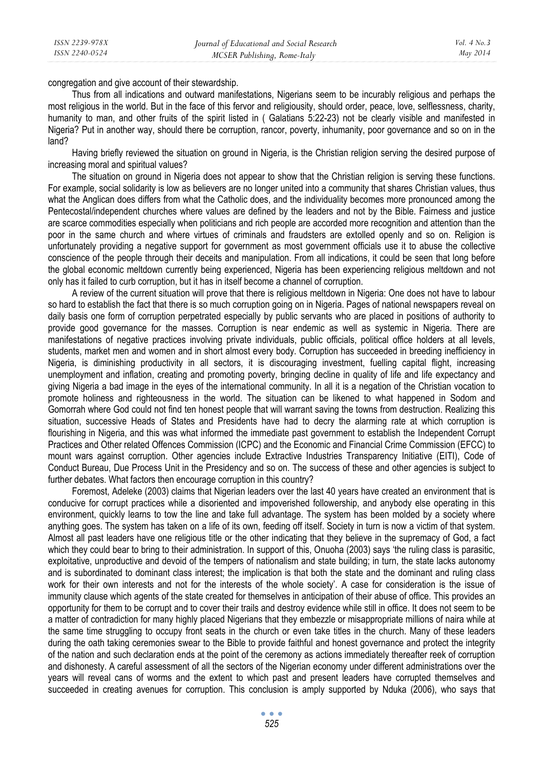congregation and give account of their stewardship.

Thus from all indications and outward manifestations, Nigerians seem to be incurably religious and perhaps the most religious in the world. But in the face of this fervor and religiousity, should order, peace, love, selflessness, charity, humanity to man, and other fruits of the spirit listed in ( Galatians 5:22-23) not be clearly visible and manifested in Nigeria? Put in another way, should there be corruption, rancor, poverty, inhumanity, poor governance and so on in the land?

Having briefly reviewed the situation on ground in Nigeria, is the Christian religion serving the desired purpose of increasing moral and spiritual values?

The situation on ground in Nigeria does not appear to show that the Christian religion is serving these functions. For example, social solidarity is low as believers are no longer united into a community that shares Christian values, thus what the Anglican does differs from what the Catholic does, and the individuality becomes more pronounced among the Pentecostal/independent churches where values are defined by the leaders and not by the Bible. Fairness and justice are scarce commodities especially when politicians and rich people are accorded more recognition and attention than the poor in the same church and where virtues of criminals and fraudsters are extolled openly and so on. Religion is unfortunately providing a negative support for government as most government officials use it to abuse the collective conscience of the people through their deceits and manipulation. From all indications, it could be seen that long before the global economic meltdown currently being experienced, Nigeria has been experiencing religious meltdown and not only has it failed to curb corruption, but it has in itself become a channel of corruption.

A review of the current situation will prove that there is religious meltdown in Nigeria: One does not have to labour so hard to establish the fact that there is so much corruption going on in Nigeria. Pages of national newspapers reveal on daily basis one form of corruption perpetrated especially by public servants who are placed in positions of authority to provide good governance for the masses. Corruption is near endemic as well as systemic in Nigeria. There are manifestations of negative practices involving private individuals, public officials, political office holders at all levels, students, market men and women and in short almost every body. Corruption has succeeded in breeding inefficiency in Nigeria, is diminishing productivity in all sectors, it is discouraging investment, fuelling capital flight, increasing unemployment and inflation, creating and promoting poverty, bringing decline in quality of life and life expectancy and giving Nigeria a bad image in the eyes of the international community. In all it is a negation of the Christian vocation to promote holiness and righteousness in the world. The situation can be likened to what happened in Sodom and Gomorrah where God could not find ten honest people that will warrant saving the towns from destruction. Realizing this situation, successive Heads of States and Presidents have had to decry the alarming rate at which corruption is flourishing in Nigeria, and this was what informed the immediate past government to establish the Independent Corrupt Practices and Other related Offences Commission (ICPC) and the Economic and Financial Crime Commission (EFCC) to mount wars against corruption. Other agencies include Extractive Industries Transparency Initiative (EITI), Code of Conduct Bureau, Due Process Unit in the Presidency and so on. The success of these and other agencies is subject to further debates. What factors then encourage corruption in this country?

Foremost, Adeleke (2003) claims that Nigerian leaders over the last 40 years have created an environment that is conducive for corrupt practices while a disoriented and impoverished followership, and anybody else operating in this environment, quickly learns to tow the line and take full advantage. The system has been molded by a society where anything goes. The system has taken on a life of its own, feeding off itself. Society in turn is now a victim of that system. Almost all past leaders have one religious title or the other indicating that they believe in the supremacy of God, a fact which they could bear to bring to their administration. In support of this, Onuoha (2003) says 'the ruling class is parasitic, exploitative, unproductive and devoid of the tempers of nationalism and state building; in turn, the state lacks autonomy and is subordinated to dominant class interest; the implication is that both the state and the dominant and ruling class work for their own interests and not for the interests of the whole society'. A case for consideration is the issue of immunity clause which agents of the state created for themselves in anticipation of their abuse of office. This provides an opportunity for them to be corrupt and to cover their trails and destroy evidence while still in office. It does not seem to be a matter of contradiction for many highly placed Nigerians that they embezzle or misappropriate millions of naira while at the same time struggling to occupy front seats in the church or even take titles in the church. Many of these leaders during the oath taking ceremonies swear to the Bible to provide faithful and honest governance and protect the integrity of the nation and such declaration ends at the point of the ceremony as actions immediately thereafter reek of corruption and dishonesty. A careful assessment of all the sectors of the Nigerian economy under different administrations over the years will reveal cans of worms and the extent to which past and present leaders have corrupted themselves and succeeded in creating avenues for corruption. This conclusion is amply supported by Nduka (2006), who says that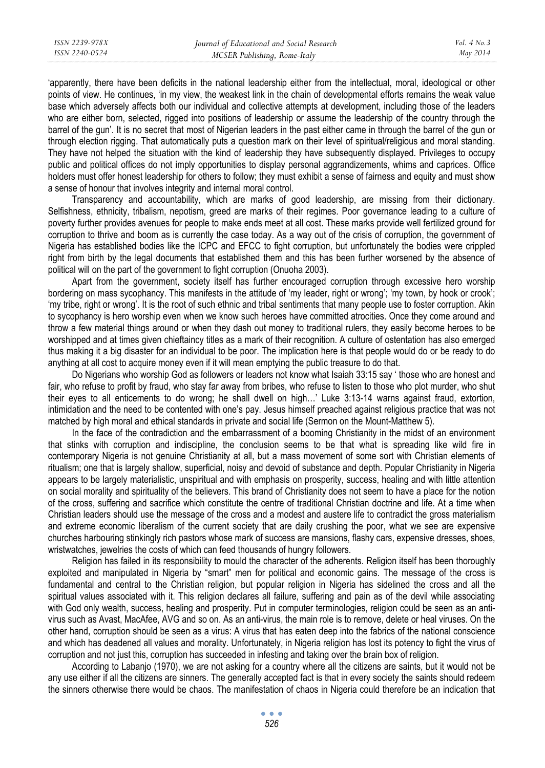'apparently, there have been deficits in the national leadership either from the intellectual, moral, ideological or other points of view. He continues, 'in my view, the weakest link in the chain of developmental efforts remains the weak value base which adversely affects both our individual and collective attempts at development, including those of the leaders who are either born, selected, rigged into positions of leadership or assume the leadership of the country through the barrel of the gun'. It is no secret that most of Nigerian leaders in the past either came in through the barrel of the gun or through election rigging. That automatically puts a question mark on their level of spiritual/religious and moral standing. They have not helped the situation with the kind of leadership they have subsequently displayed. Privileges to occupy public and political offices do not imply opportunities to display personal aggrandizements, whims and caprices. Office holders must offer honest leadership for others to follow; they must exhibit a sense of fairness and equity and must show a sense of honour that involves integrity and internal moral control.

Transparency and accountability, which are marks of good leadership, are missing from their dictionary. Selfishness, ethnicity, tribalism, nepotism, greed are marks of their regimes. Poor governance leading to a culture of poverty further provides avenues for people to make ends meet at all cost. These marks provide well fertilized ground for corruption to thrive and boom as is currently the case today. As a way out of the crisis of corruption, the government of Nigeria has established bodies like the ICPC and EFCC to fight corruption, but unfortunately the bodies were crippled right from birth by the legal documents that established them and this has been further worsened by the absence of political will on the part of the government to fight corruption (Onuoha 2003).

Apart from the government, society itself has further encouraged corruption through excessive hero worship bordering on mass sycophancy. This manifests in the attitude of 'my leader, right or wrong'; 'my town, by hook or crook'; 'my tribe, right or wrong'. It is the root of such ethnic and tribal sentiments that many people use to foster corruption. Akin to sycophancy is hero worship even when we know such heroes have committed atrocities. Once they come around and throw a few material things around or when they dash out money to traditional rulers, they easily become heroes to be worshipped and at times given chieftaincy titles as a mark of their recognition. A culture of ostentation has also emerged thus making it a big disaster for an individual to be poor. The implication here is that people would do or be ready to do anything at all cost to acquire money even if it will mean emptying the public treasure to do that.

Do Nigerians who worship God as followers or leaders not know what Isaiah 33:15 say ' those who are honest and fair, who refuse to profit by fraud, who stay far away from bribes, who refuse to listen to those who plot murder, who shut their eyes to all enticements to do wrong; he shall dwell on high…' Luke 3:13-14 warns against fraud, extortion, intimidation and the need to be contented with one's pay. Jesus himself preached against religious practice that was not matched by high moral and ethical standards in private and social life (Sermon on the Mount-Matthew 5).

In the face of the contradiction and the embarrassment of a booming Christianity in the midst of an environment that stinks with corruption and indiscipline, the conclusion seems to be that what is spreading like wild fire in contemporary Nigeria is not genuine Christianity at all, but a mass movement of some sort with Christian elements of ritualism; one that is largely shallow, superficial, noisy and devoid of substance and depth. Popular Christianity in Nigeria appears to be largely materialistic, unspiritual and with emphasis on prosperity, success, healing and with little attention on social morality and spirituality of the believers. This brand of Christianity does not seem to have a place for the notion of the cross, suffering and sacrifice which constitute the centre of traditional Christian doctrine and life. At a time when Christian leaders should use the message of the cross and a modest and austere life to contradict the gross materialism and extreme economic liberalism of the current society that are daily crushing the poor, what we see are expensive churches harbouring stinkingly rich pastors whose mark of success are mansions, flashy cars, expensive dresses, shoes, wristwatches, jewelries the costs of which can feed thousands of hungry followers.

Religion has failed in its responsibility to mould the character of the adherents. Religion itself has been thoroughly exploited and manipulated in Nigeria by "smart" men for political and economic gains. The message of the cross is fundamental and central to the Christian religion, but popular religion in Nigeria has sidelined the cross and all the spiritual values associated with it. This religion declares all failure, suffering and pain as of the devil while associating with God only wealth, success, healing and prosperity. Put in computer terminologies, religion could be seen as an antivirus such as Avast, MacAfee, AVG and so on. As an anti-virus, the main role is to remove, delete or heal viruses. On the other hand, corruption should be seen as a virus: A virus that has eaten deep into the fabrics of the national conscience and which has deadened all values and morality. Unfortunately, in Nigeria religion has lost its potency to fight the virus of corruption and not just this, corruption has succeeded in infesting and taking over the brain box of religion.

According to Labanjo (1970), we are not asking for a country where all the citizens are saints, but it would not be any use either if all the citizens are sinners. The generally accepted fact is that in every society the saints should redeem the sinners otherwise there would be chaos. The manifestation of chaos in Nigeria could therefore be an indication that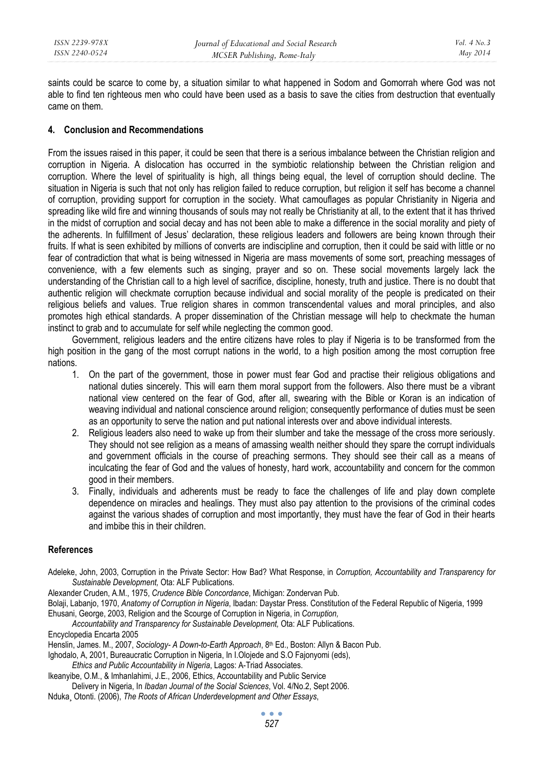saints could be scarce to come by, a situation similar to what happened in Sodom and Gomorrah where God was not able to find ten righteous men who could have been used as a basis to save the cities from destruction that eventually came on them.

#### **4. Conclusion and Recommendations**

From the issues raised in this paper, it could be seen that there is a serious imbalance between the Christian religion and corruption in Nigeria. A dislocation has occurred in the symbiotic relationship between the Christian religion and corruption. Where the level of spirituality is high, all things being equal, the level of corruption should decline. The situation in Nigeria is such that not only has religion failed to reduce corruption, but religion it self has become a channel of corruption, providing support for corruption in the society. What camouflages as popular Christianity in Nigeria and spreading like wild fire and winning thousands of souls may not really be Christianity at all, to the extent that it has thrived in the midst of corruption and social decay and has not been able to make a difference in the social morality and piety of the adherents. In fulfillment of Jesus' declaration, these religious leaders and followers are being known through their fruits. If what is seen exhibited by millions of converts are indiscipline and corruption, then it could be said with little or no fear of contradiction that what is being witnessed in Nigeria are mass movements of some sort, preaching messages of convenience, with a few elements such as singing, prayer and so on. These social movements largely lack the understanding of the Christian call to a high level of sacrifice, discipline, honesty, truth and justice. There is no doubt that authentic religion will checkmate corruption because individual and social morality of the people is predicated on their religious beliefs and values. True religion shares in common transcendental values and moral principles, and also promotes high ethical standards. A proper dissemination of the Christian message will help to checkmate the human instinct to grab and to accumulate for self while neglecting the common good.

Government, religious leaders and the entire citizens have roles to play if Nigeria is to be transformed from the high position in the gang of the most corrupt nations in the world, to a high position among the most corruption free nations.

- 1. On the part of the government, those in power must fear God and practise their religious obligations and national duties sincerely. This will earn them moral support from the followers. Also there must be a vibrant national view centered on the fear of God, after all, swearing with the Bible or Koran is an indication of weaving individual and national conscience around religion; consequently performance of duties must be seen as an opportunity to serve the nation and put national interests over and above individual interests.
- 2. Religious leaders also need to wake up from their slumber and take the message of the cross more seriously. They should not see religion as a means of amassing wealth neither should they spare the corrupt individuals and government officials in the course of preaching sermons. They should see their call as a means of inculcating the fear of God and the values of honesty, hard work, accountability and concern for the common good in their members.
- 3. Finally, individuals and adherents must be ready to face the challenges of life and play down complete dependence on miracles and healings. They must also pay attention to the provisions of the criminal codes against the various shades of corruption and most importantly, they must have the fear of God in their hearts and imbibe this in their children.

#### **References**

- Adeleke, John, 2003, Corruption in the Private Sector: How Bad? What Response, in *Corruption, Accountability and Transparency for Sustainable Development,* Ota: ALF Publications.
- Alexander Cruden, A.M., 1975, *Crudence Bible Concordance*, Michigan: Zondervan Pub.
- Bolaji, Labanjo, 1970, *Anatomy of Corruption in Nigeria*, Ibadan: Daystar Press. Constitution of the Federal Republic of Nigeria, 1999 Ehusani, George, 2003, Religion and the Scourge of Corruption in Nigeria, in *Corruption,*

 *Accountability and Transparency for Sustainable Development,* Ota: ALF Publications.

Encyclopedia Encarta 2005

Henslin, James. M., 2007, *Sociology- A Down-to-Earth Approach*, 8<sup>th</sup> Ed., Boston: Allyn & Bacon Pub.

Ighodalo, A, 2001, Bureaucratic Corruption in Nigeria, In I.Olojede and S.O Fajonyomi (eds),

*Ethics and Public Accountability in Nigeria*, Lagos: A-Triad Associates.

Ikeanyibe, O.M., & Imhanlahimi, J.E., 2006, Ethics, Accountability and Public Service Delivery in Nigeria, In *Ibadan Journal of the Social Sciences*, Vol. 4/No.2, Sept 2006.

Nduka¸ Otonti. (2006), *The Roots of African Underdevelopment and Other Essays*,